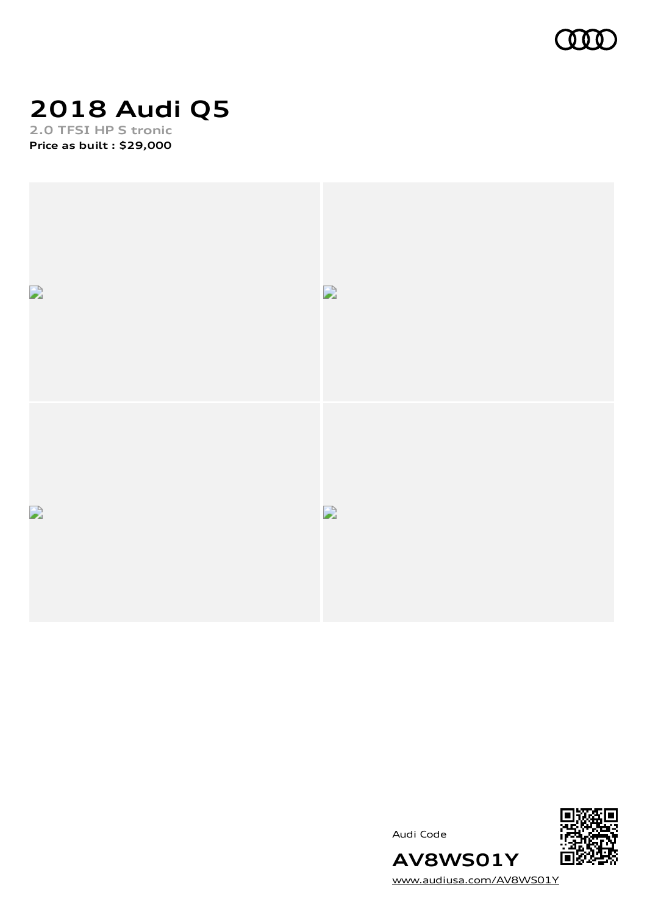

### **2018 Audi Q5 2.0 TFSI HP S tronic**

**Price as built [:](#page-8-0) \$29,000**



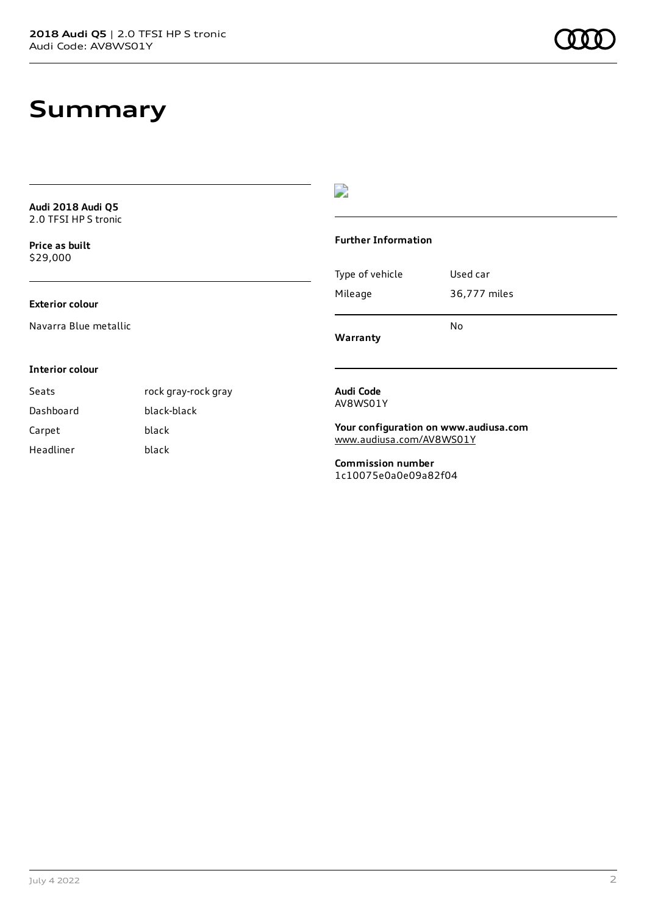## **Summary**

| <b>Audi 2018 Audi Q5</b><br>2.0 TFSI HPS tronic |                     |                                                  |                                       |
|-------------------------------------------------|---------------------|--------------------------------------------------|---------------------------------------|
| Price as built<br>\$29,000                      |                     | <b>Further Information</b>                       |                                       |
|                                                 |                     | Type of vehicle                                  | Used car                              |
| <b>Exterior colour</b>                          |                     | Mileage                                          | 36,777 miles                          |
| Navarra Blue metallic                           |                     | Warranty                                         | No                                    |
| <b>Interior colour</b>                          |                     |                                                  |                                       |
| Seats                                           | rock gray-rock gray | Audi Code                                        |                                       |
| Dashboard                                       | black-black         |                                                  | AV8WS01Y                              |
| Carpet                                          | black               |                                                  | Your configuration on www.audiusa.com |
| Headliner                                       | black               | www.audiusa.com/AV8WS01Y                         |                                       |
|                                                 |                     | <b>Commission number</b><br>1c10075e0a0e09a82f04 |                                       |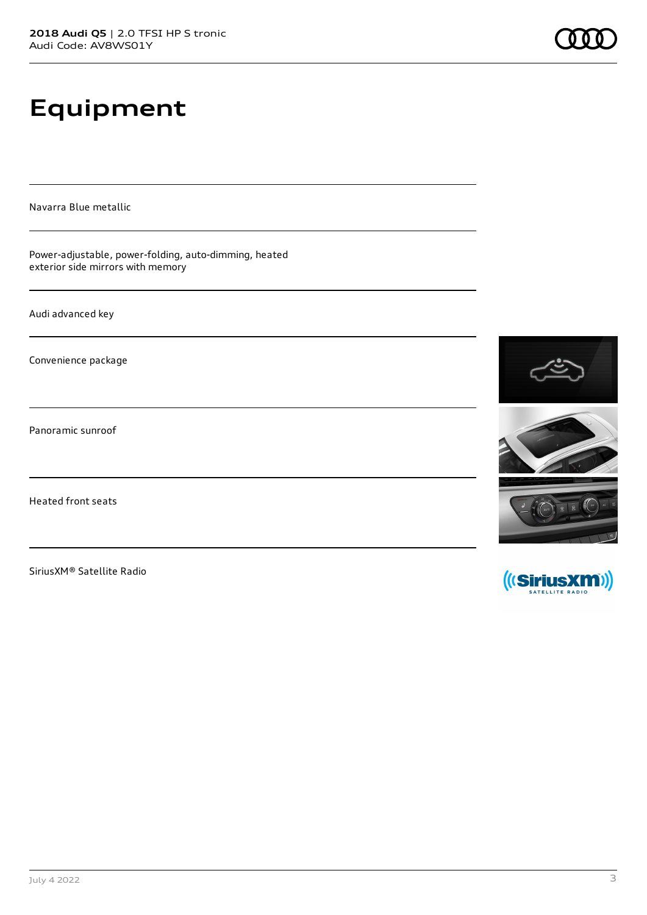# **Equipment**

Navarra Blue metallic

Power-adjustable, power-folding, auto-dimming, heated exterior side mirrors with memory

Audi advanced key

Convenience package

Panoramic sunroof

Heated front seats

SiriusXM® Satellite Radio



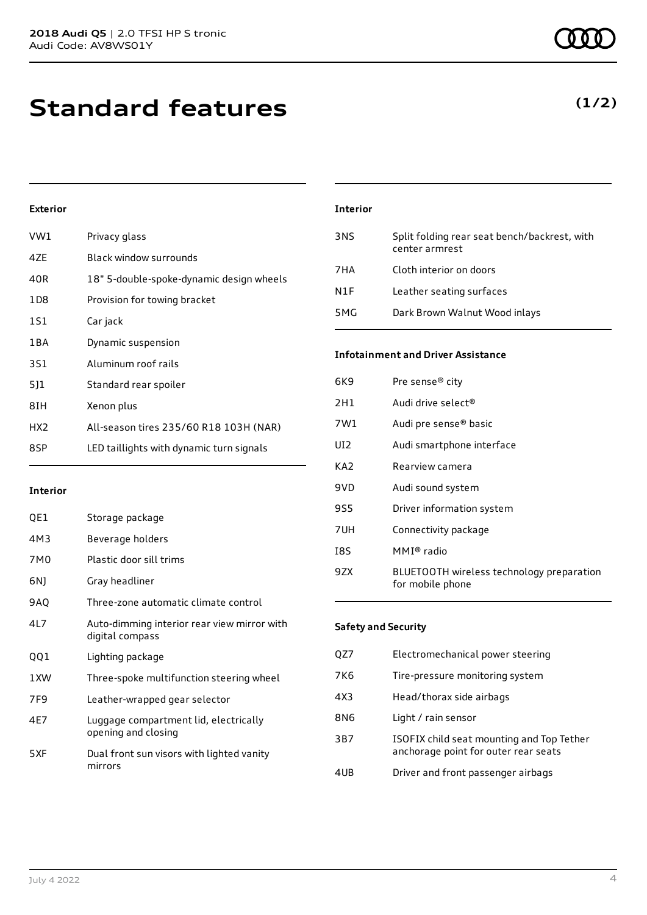### **Standard features**

#### **Exterior**

| VW1             | Privacy glass                            |
|-----------------|------------------------------------------|
| 4ZE             | Black window surrounds                   |
| 40R             | 18" 5-double-spoke-dynamic design wheels |
| 1D <sub>8</sub> | Provision for towing bracket             |
| 1S1             | Car jack                                 |
| 1 B A           | Dynamic suspension                       |
| 3S1             | Aluminum roof rails                      |
| 511             | Standard rear spoiler                    |
| 8IH             | Xenon plus                               |
| HX <sub>2</sub> | All-season tires 235/60 R18 103H (NAR)   |
| 8SP             | LED taillights with dynamic turn signals |
|                 |                                          |

#### **Interior**

| QE1             | Storage package                                                |
|-----------------|----------------------------------------------------------------|
| 4M3             | Beverage holders                                               |
| 7M0             | Plastic door sill trims                                        |
| 6N)             | Gray headliner                                                 |
| 9AQ             | Three-zone automatic climate control                           |
| 4L7             | Auto-dimming interior rear view mirror with<br>digital compass |
| QQ1             | Lighting package                                               |
| 1XW             | Three-spoke multifunction steering wheel                       |
| 7F <sub>9</sub> | Leather-wrapped gear selector                                  |
| 4E7             | Luggage compartment lid, electrically<br>opening and closing   |
| 5XF             | Dual front sun visors with lighted vanity<br>mirrors           |

### **Interior** 3NS Split folding rear seat bench/backrest, with center armrest 7HA Cloth interior on doors N1F Leather seating surfaces 5MG Dark Brown Walnut Wood inlays

#### **Infotainment and Driver Assistance**

| 6K9 | Pre sense <sup>®</sup> city                                   |
|-----|---------------------------------------------------------------|
|     |                                                               |
| 2H1 | Audi drive select®                                            |
| 7W1 | Audi pre sense <sup>®</sup> basic                             |
| UI2 | Audi smartphone interface                                     |
| KA2 | Rearview camera                                               |
| 9VD | Audi sound system                                             |
| 9S5 | Driver information system                                     |
| 7UH | Connectivity package                                          |
| I8S | $MMI®$ radio                                                  |
| 9ZX | BLUETOOTH wireless technology preparation<br>for mobile phone |

#### **Safety and Security**

| QZ7 | Electromechanical power steering                                                  |
|-----|-----------------------------------------------------------------------------------|
| 7K6 | Tire-pressure monitoring system                                                   |
| 4X3 | Head/thorax side airbags                                                          |
| 8N6 | Light / rain sensor                                                               |
| 3B7 | ISOFIX child seat mounting and Top Tether<br>anchorage point for outer rear seats |
| 4UB | Driver and front passenger airbags                                                |
|     |                                                                                   |

### **(1/2)**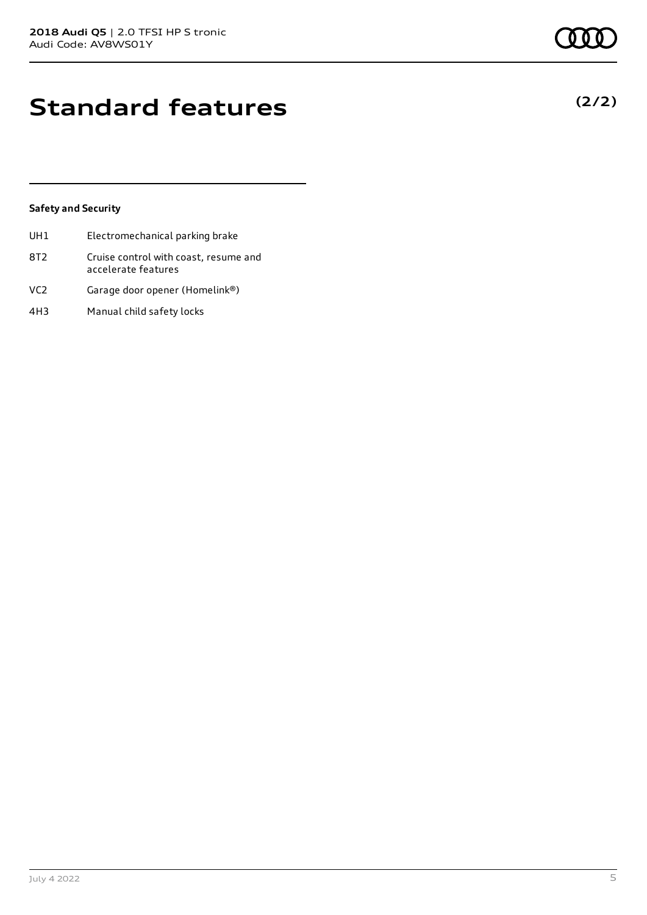### **Standard features**

#### **Safety and Security**

| UH1             | Electromechanical parking brake                              |
|-----------------|--------------------------------------------------------------|
| 8T <sub>2</sub> | Cruise control with coast, resume and<br>accelerate features |
| VC <sub>2</sub> | Garage door opener (Homelink®)                               |

4H3 Manual child safety locks

**(2/2)**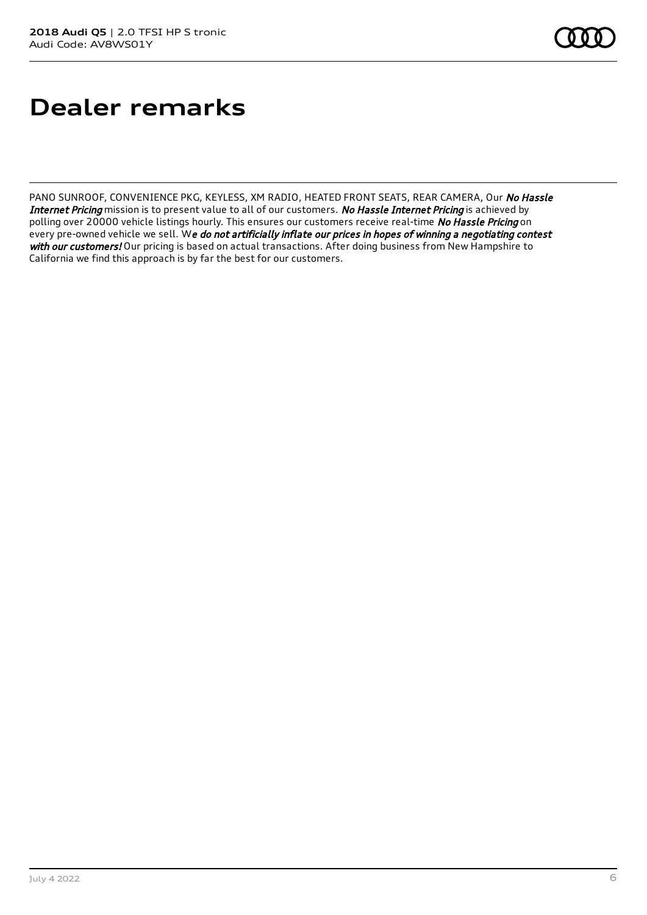## **Dealer remarks**

PANO SUNROOF, CONVENIENCE PKG, KEYLESS, XM RADIO, HEATED FRONT SEATS, REAR CAMERA, Our No Hassle Internet Pricing mission is to present value to all of our customers. No Hassle Internet Pricing is achieved by polling over 20000 vehicle listings hourly. This ensures our customers receive real-time No Hassle Pricing on every pre-owned vehicle we sell. We do not artificially inflate our prices in hopes of winning a negotiating contest with our customers! Our pricing is based on actual transactions. After doing business from New Hampshire to California we find this approach is by far the best for our customers.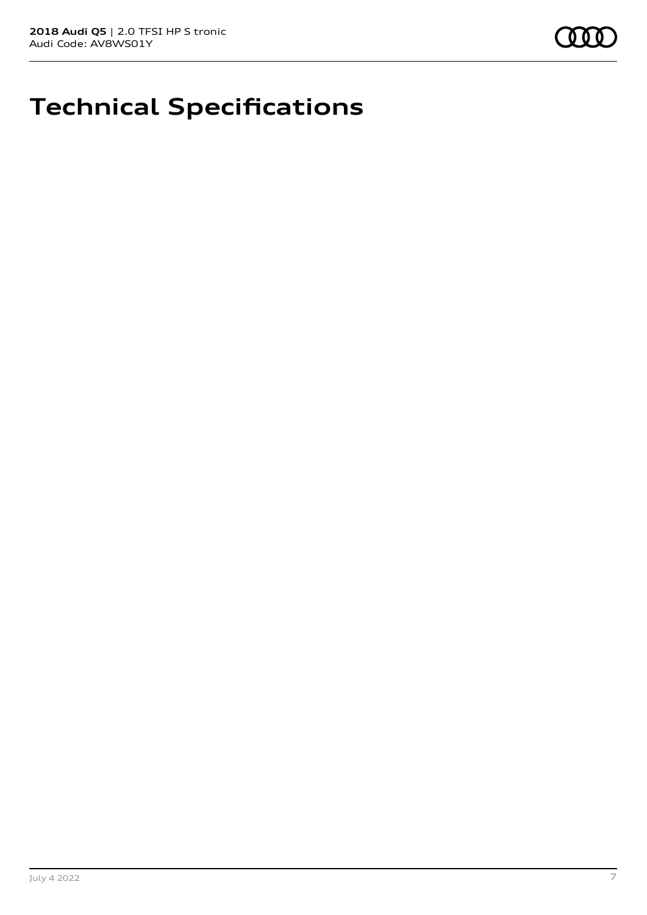

## **Technical Specifications**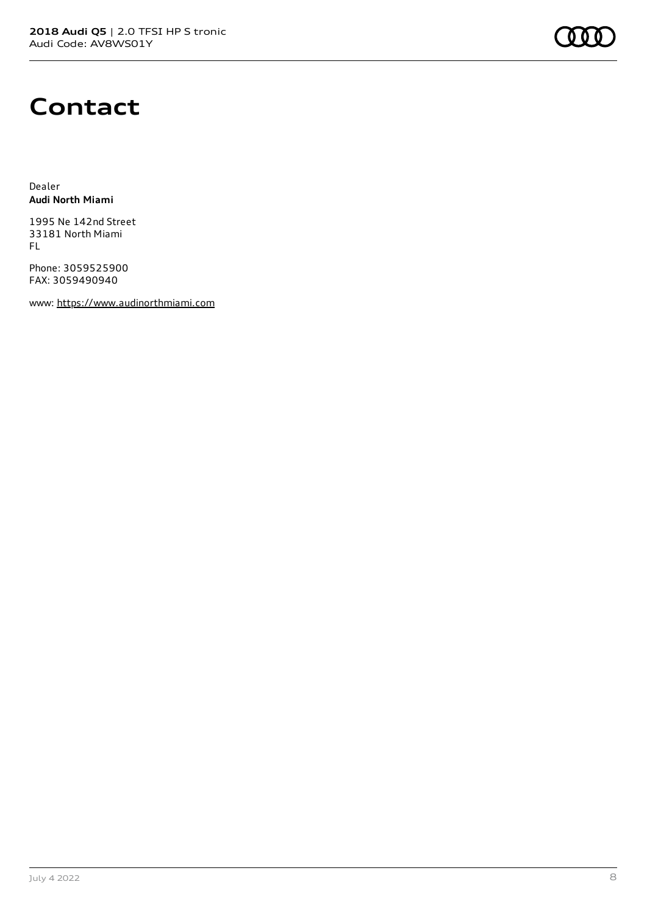### **Contact**

Dealer **Audi North Miami**

1995 Ne 142nd Street 33181 North Miami FL

Phone: 3059525900 FAX: 3059490940

www: [https://www.audinorthmiami.com](https://www.audinorthmiami.com/)